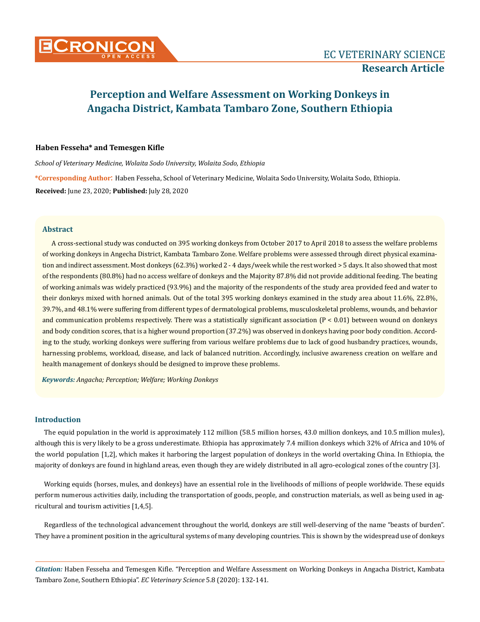

# **Haben Fesseha\* and Temesgen Kifle**

*School of Veterinary Medicine, Wolaita Sodo University, Wolaita Sodo, Ethiopia* **\*Corresponding Author**: Haben Fesseha, School of Veterinary Medicine, Wolaita Sodo University, Wolaita Sodo, Ethiopia. **Received:** June 23, 2020; **Published:** July 28, 2020

## **Abstract**

A cross-sectional study was conducted on 395 working donkeys from October 2017 to April 2018 to assess the welfare problems of working donkeys in Angecha District, Kambata Tambaro Zone. Welfare problems were assessed through direct physical examination and indirect assessment. Most donkeys (62.3%) worked 2 - 4 days/week while the rest worked > 5 days. It also showed that most of the respondents (80.8%) had no access welfare of donkeys and the Majority 87.8% did not provide additional feeding. The beating of working animals was widely practiced (93.9%) and the majority of the respondents of the study area provided feed and water to their donkeys mixed with horned animals. Out of the total 395 working donkeys examined in the study area about 11.6%, 22.8%, 39.7%, and 48.1% were suffering from different types of dermatological problems, musculoskeletal problems, wounds, and behavior and communication problems respectively. There was a statistically significant association  $(P < 0.01)$  between wound on donkeys and body condition scores, that is a higher wound proportion (37.2%) was observed in donkeys having poor body condition. According to the study, working donkeys were suffering from various welfare problems due to lack of good husbandry practices, wounds, harnessing problems, workload, disease, and lack of balanced nutrition. Accordingly, inclusive awareness creation on welfare and health management of donkeys should be designed to improve these problems.

*Keywords: Angacha; Perception; Welfare; Working Donkeys*

# **Introduction**

The equid population in the world is approximately 112 million (58.5 million horses, 43.0 million donkeys, and 10.5 million mules), although this is very likely to be a gross underestimate. Ethiopia has approximately 7.4 million donkeys which 32% of Africa and 10% of the world population [1,2], which makes it harboring the largest population of donkeys in the world overtaking China. In Ethiopia, the majority of donkeys are found in highland areas, even though they are widely distributed in all agro-ecological zones of the country [3].

Working equids (horses, mules, and donkeys) have an essential role in the livelihoods of millions of people worldwide. These equids perform numerous activities daily, including the transportation of goods, people, and construction materials, as well as being used in agricultural and tourism activities [1,4,5].

Regardless of the technological advancement throughout the world, donkeys are still well-deserving of the name "beasts of burden". They have a prominent position in the agricultural systems of many developing countries. This is shown by the widespread use of donkeys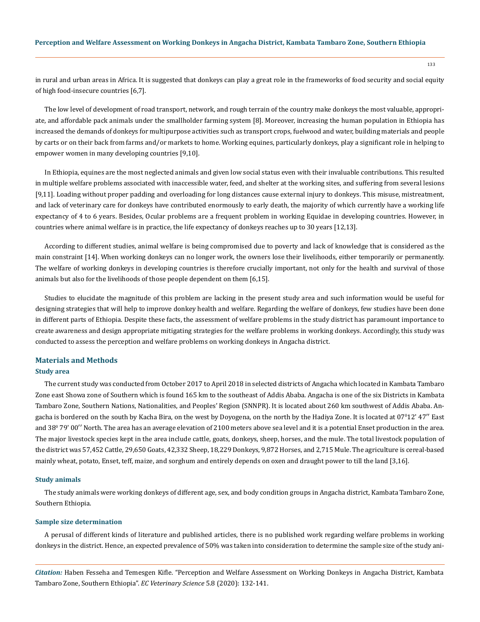133

in rural and urban areas in Africa. It is suggested that donkeys can play a great role in the frameworks of food security and social equity of high food-insecure countries [6,7].

The low level of development of road transport, network, and rough terrain of the country make donkeys the most valuable, appropriate, and affordable pack animals under the smallholder farming system [8]. Moreover, increasing the human population in Ethiopia has increased the demands of donkeys for multipurpose activities such as transport crops, fuelwood and water, building materials and people by carts or on their back from farms and/or markets to home. Working equines, particularly donkeys, play a significant role in helping to empower women in many developing countries [9,10].

In Ethiopia, equines are the most neglected animals and given low social status even with their invaluable contributions. This resulted in multiple welfare problems associated with inaccessible water, feed, and shelter at the working sites, and suffering from several lesions [9,11]. Loading without proper padding and overloading for long distances cause external injury to donkeys. This misuse, mistreatment, and lack of veterinary care for donkeys have contributed enormously to early death, the majority of which currently have a working life expectancy of 4 to 6 years. Besides, Ocular problems are a frequent problem in working Equidae in developing countries. However, in countries where animal welfare is in practice, the life expectancy of donkeys reaches up to 30 years [12,13].

According to different studies, animal welfare is being compromised due to poverty and lack of knowledge that is considered as the main constraint [14]. When working donkeys can no longer work, the owners lose their livelihoods, either temporarily or permanently. The welfare of working donkeys in developing countries is therefore crucially important, not only for the health and survival of those animals but also for the livelihoods of those people dependent on them [6,15].

Studies to elucidate the magnitude of this problem are lacking in the present study area and such information would be useful for designing strategies that will help to improve donkey health and welfare. Regarding the welfare of donkeys, few studies have been done in different parts of Ethiopia. Despite these facts, the assessment of welfare problems in the study district has paramount importance to create awareness and design appropriate mitigating strategies for the welfare problems in working donkeys. Accordingly, this study was conducted to assess the perception and welfare problems on working donkeys in Angacha district.

#### **Materials and Methods**

## **Study area**

The current study was conducted from October 2017 to April 2018 in selected districts of Angacha which located in Kambata Tambaro Zone east Showa zone of Southern which is found 165 km to the southeast of Addis Ababa. Angacha is one of the six Districts in Kambata Tambaro Zone, Southern Nations, Nationalities, and Peoples' Region (SNNPR). It is located about 260 km southwest of Addis Ababa. Angacha is bordered on the south by Kacha Bira, on the west by Doyogena, on the north by the Hadiya Zone. It is located at 07º12' 47'' East and 38º 79' 00'' North. The area has an average elevation of 2100 meters above sea level and it is a potential Enset production in the area. The major livestock species kept in the area include cattle, goats, donkeys, sheep, horses, and the mule. The total livestock population of the district was 57,452 Cattle, 29,650 Goats, 42,332 Sheep, 18,229 Donkeys, 9,872 Horses, and 2,715 Mule. The agriculture is cereal-based mainly wheat, potato, Enset, teff, maize, and sorghum and entirely depends on oxen and draught power to till the land [3,16].

#### **Study animals**

The study animals were working donkeys of different age, sex, and body condition groups in Angacha district, Kambata Tambaro Zone, Southern Ethiopia.

#### **Sample size determination**

A perusal of different kinds of literature and published articles, there is no published work regarding welfare problems in working donkeys in the district. Hence, an expected prevalence of 50% was taken into consideration to determine the sample size of the study ani-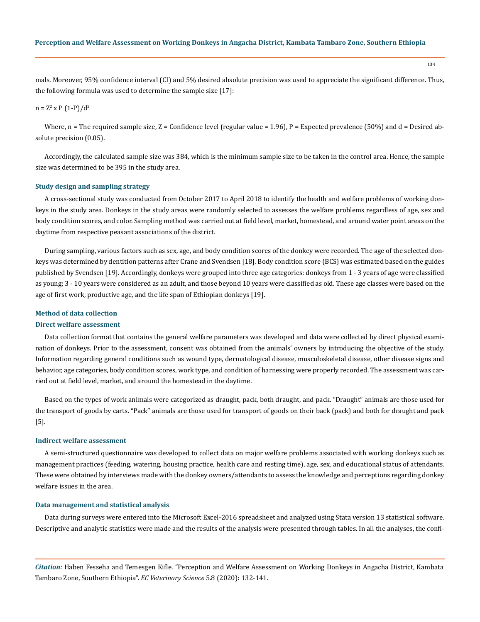mals. Moreover, 95% confidence interval (CI) and 5% desired absolute precision was used to appreciate the significant difference. Thus, the following formula was used to determine the sample size [17]:

# $n = Z^2$  x P (1-P)/d<sup>2</sup>

Where,  $n =$  The required sample size,  $Z =$  Confidence level (regular value = 1.96),  $P =$  Expected prevalence (50%) and d = Desired absolute precision (0.05).

Accordingly, the calculated sample size was 384, which is the minimum sample size to be taken in the control area. Hence, the sample size was determined to be 395 in the study area.

#### **Study design and sampling strategy**

A cross-sectional study was conducted from October 2017 to April 2018 to identify the health and welfare problems of working donkeys in the study area. Donkeys in the study areas were randomly selected to assesses the welfare problems regardless of age, sex and body condition scores, and color. Sampling method was carried out at field level, market, homestead, and around water point areas on the daytime from respective peasant associations of the district.

During sampling, various factors such as sex, age, and body condition scores of the donkey were recorded. The age of the selected donkeys was determined by dentition patterns after Crane and Svendsen [18]. Body condition score (BCS) was estimated based on the guides published by Svendsen [19]. Accordingly, donkeys were grouped into three age categories: donkeys from 1 - 3 years of age were classified as young; 3 - 10 years were considered as an adult, and those beyond 10 years were classified as old. These age classes were based on the age of first work, productive age, and the life span of Ethiopian donkeys [19].

## **Method of data collection**

#### **Direct welfare assessment**

Data collection format that contains the general welfare parameters was developed and data were collected by direct physical examination of donkeys. Prior to the assessment, consent was obtained from the animals' owners by introducing the objective of the study. Information regarding general conditions such as wound type, dermatological disease, musculoskeletal disease, other disease signs and behavior, age categories, body condition scores, work type, and condition of harnessing were properly recorded. The assessment was carried out at field level, market, and around the homestead in the daytime.

Based on the types of work animals were categorized as draught, pack, both draught, and pack. "Draught" animals are those used for the transport of goods by carts. "Pack" animals are those used for transport of goods on their back (pack) and both for draught and pack [5].

#### **Indirect welfare assessment**

A semi-structured questionnaire was developed to collect data on major welfare problems associated with working donkeys such as management practices (feeding, watering, housing practice, health care and resting time), age, sex, and educational status of attendants. These were obtained by interviews made with the donkey owners/attendants to assess the knowledge and perceptions regarding donkey welfare issues in the area.

#### **Data management and statistical analysis**

Data during surveys were entered into the Microsoft Excel-2016 spreadsheet and analyzed using Stata version 13 statistical software. Descriptive and analytic statistics were made and the results of the analysis were presented through tables. In all the analyses, the confi-

*Citation:* Haben Fesseha and Temesgen Kifle. "Perception and Welfare Assessment on Working Donkeys in Angacha District, Kambata Tambaro Zone, Southern Ethiopia". *EC Veterinary Science* 5.8 (2020): 132-141.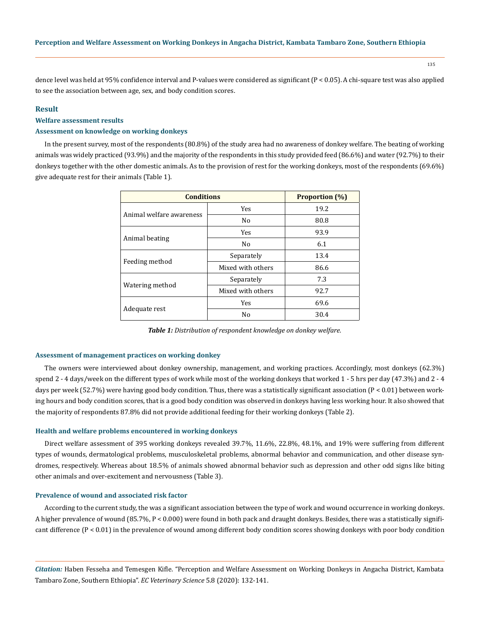135

dence level was held at 95% confidence interval and P-values were considered as significant (P < 0.05). A chi-square test was also applied to see the association between age, sex, and body condition scores.

# **Result**

## **Welfare assessment results**

# **Assessment on knowledge on working donkeys**

In the present survey, most of the respondents (80.8%) of the study area had no awareness of donkey welfare. The beating of working animals was widely practiced (93.9%) and the majority of the respondents in this study provided feed (86.6%) and water (92.7%) to their donkeys together with the other domestic animals. As to the provision of rest for the working donkeys, most of the respondents (69.6%) give adequate rest for their animals (Table 1).

| <b>Conditions</b>        | <b>Proportion</b> (%)                                                                                                                                                                |      |
|--------------------------|--------------------------------------------------------------------------------------------------------------------------------------------------------------------------------------|------|
|                          | <b>Yes</b>                                                                                                                                                                           | 19.2 |
| Animal welfare awareness | N <sub>0</sub>                                                                                                                                                                       | 80.8 |
|                          | 93.9<br><b>Yes</b><br>6.1<br>N <sub>0</sub><br>13.4<br>Separately<br>Mixed with others<br>86.6<br>7.3<br>Separately<br>Mixed with others<br>92.7<br>69.6<br><b>Yes</b><br>No<br>30.4 |      |
| Animal beating           |                                                                                                                                                                                      |      |
|                          |                                                                                                                                                                                      |      |
| Feeding method           |                                                                                                                                                                                      |      |
|                          |                                                                                                                                                                                      |      |
| Watering method          |                                                                                                                                                                                      |      |
|                          |                                                                                                                                                                                      |      |
| Adequate rest            |                                                                                                                                                                                      |      |

*Table 1: Distribution of respondent knowledge on donkey welfare.*

#### **Assessment of management practices on working donkey**

The owners were interviewed about donkey ownership, management, and working practices. Accordingly, most donkeys (62.3%) spend 2 - 4 days/week on the different types of work while most of the working donkeys that worked 1 - 5 hrs per day (47.3%) and 2 - 4 days per week (52.7%) were having good body condition. Thus, there was a statistically significant association  $(P < 0.01)$  between working hours and body condition scores, that is a good body condition was observed in donkeys having less working hour. It also showed that the majority of respondents 87.8% did not provide additional feeding for their working donkeys (Table 2).

#### **Health and welfare problems encountered in working donkeys**

Direct welfare assessment of 395 working donkeys revealed 39.7%, 11.6%, 22.8%, 48.1%, and 19% were suffering from different types of wounds, dermatological problems, musculoskeletal problems, abnormal behavior and communication, and other disease syndromes, respectively. Whereas about 18.5% of animals showed abnormal behavior such as depression and other odd signs like biting other animals and over-excitement and nervousness (Table 3).

#### **Prevalence of wound and associated risk factor**

According to the current study, the was a significant association between the type of work and wound occurrence in working donkeys. A higher prevalence of wound (85.7%, P < 0.000) were found in both pack and draught donkeys. Besides, there was a statistically significant difference (P < 0.01) in the prevalence of wound among different body condition scores showing donkeys with poor body condition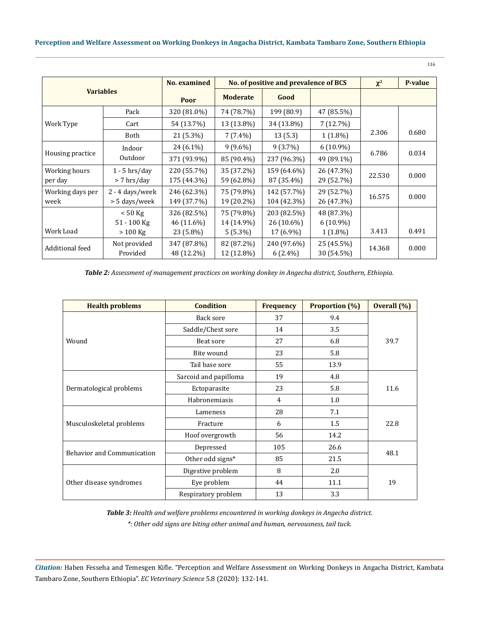| ×<br>۰.<br>۰. | I<br>- 1<br>٠ |  |
|---------------|---------------|--|
|               |               |  |

| <b>Variables</b>         |                                         | <b>No.</b> examined                    |                                        | No. of positive and prevalence of BCS  | $\chi^2$                                | P-value |       |
|--------------------------|-----------------------------------------|----------------------------------------|----------------------------------------|----------------------------------------|-----------------------------------------|---------|-------|
|                          |                                         | Poor                                   | <b>Moderate</b>                        | Good                                   |                                         |         |       |
|                          | Pack                                    | 320 (81.0%)                            | 74 (78.7%)                             | 199 (80.9)                             | 47 (85.5%)                              |         |       |
| Work Type                | Cart                                    | 54 (13.7%)                             | 13 (13.8%)                             | 34 (13.8%)                             | 7(12.7%)                                |         |       |
|                          | Both                                    | 21 (5.3%)                              | $7(7.4\%)$                             | 13(5.3)                                | $1(1.8\%)$                              | 2.306   | 0.680 |
| Housing practice         | Indoor                                  | 24 (6.1%)                              | $9(9.6\%)$                             | $9(3.7\%)$                             | $6(10.9\%)$                             |         |       |
|                          | Outdoor                                 | 371 (93.9%)                            | 85 (90.4%)                             | 237 (96.3%)                            | 49 (89.1%)                              | 6.786   | 0.034 |
| Working hours<br>per day | $1 - 5$ hrs/day<br>> 7 hrs/day          | 220 (55.7%)<br>175 (44.3%)             | 35 (37.2%)<br>59 (62.8%)               | 159 (64.6%)<br>87 (35.4%)              | 26 (47.3%)<br>29 (52.7%)                | 22.530  | 0.000 |
| Working days per<br>week | 2 - 4 days/week<br>> 5 days/week        | 246 (62.3%)<br>149 (37.7%)             | 75 (79.8%)<br>19 (20.2%)               | 142 (57.7%)<br>104 (42.3%)             | 29 (52.7%)<br>26 (47.3%)                | 16.575  | 0.000 |
| Work Load                | $< 50$ Kg<br>$51 - 100$ Kg<br>$>100$ Kg | 326 (82.5%)<br>46 (11.6%)<br>23 (5.8%) | 75 (79.8%)<br>14 (14.9%)<br>$5(5.3\%)$ | 203 (82.5%)<br>26 (10.6%)<br>17 (6.9%) | 48 (87.3%)<br>$6(10.9\%)$<br>$1(1.8\%)$ | 3.413   | 0.491 |
| Additional feed          | Not provided<br>Provided                | 347 (87.8%)<br>48 (12.2%)              | 82 (87.2%)<br>12 (12.8%)               | 240 (97.6%)<br>$6(2.4\%)$              | 25 (45.5%)<br>30 (54.5%)                | 14.368  | 0.000 |

*Table 2: Assessment of management practices on working donkey in Angecha district, Southern, Ethiopia.*

| <b>Health problems</b>                                                                   | <b>Condition</b>                                                                                                                                                                                                                           | <b>Frequency</b> | <b>Proportion (%)</b> | Overall (%) |  |
|------------------------------------------------------------------------------------------|--------------------------------------------------------------------------------------------------------------------------------------------------------------------------------------------------------------------------------------------|------------------|-----------------------|-------------|--|
|                                                                                          | Back sore                                                                                                                                                                                                                                  | 37               | 9.4                   |             |  |
|                                                                                          | Saddle/Chest sore                                                                                                                                                                                                                          | 14               | 3.5                   |             |  |
| Wound                                                                                    | Beat sore                                                                                                                                                                                                                                  | 27               | 6.8                   | 39.7        |  |
|                                                                                          | Bite wound                                                                                                                                                                                                                                 | 23               | 5.8                   |             |  |
|                                                                                          | 55<br>13.9<br>Tail base sore<br>19<br>4.8<br>Sarcoid and papilloma<br>23<br>5.8<br>Ectoparasite<br>Habronemiasis<br>1.0<br>4<br>28<br>7.1<br>Lameness<br>1.5<br>6<br>Fracture<br>56<br>14.2<br>Hoof overgrowth<br>Depressed<br>105<br>26.6 |                  |                       |             |  |
|                                                                                          |                                                                                                                                                                                                                                            |                  |                       |             |  |
| Dermatological problems                                                                  |                                                                                                                                                                                                                                            |                  |                       | 11.6        |  |
|                                                                                          |                                                                                                                                                                                                                                            |                  |                       |             |  |
|                                                                                          |                                                                                                                                                                                                                                            |                  |                       | 22.8        |  |
| Musculoskeletal problems<br><b>Behavior and Communication</b><br>Other disease syndromes |                                                                                                                                                                                                                                            |                  |                       |             |  |
|                                                                                          |                                                                                                                                                                                                                                            |                  |                       |             |  |
|                                                                                          |                                                                                                                                                                                                                                            |                  |                       |             |  |
|                                                                                          | Other odd signs*                                                                                                                                                                                                                           | 85               | 21.5                  | 48.1        |  |
|                                                                                          | Digestive problem                                                                                                                                                                                                                          | 8                | 2.0                   | 19          |  |
|                                                                                          | Eye problem                                                                                                                                                                                                                                | 44               | 11.1                  |             |  |
|                                                                                          | Respiratory problem                                                                                                                                                                                                                        | 13               | 3.3                   |             |  |

*Table 3: Health and welfare problems encountered in working donkeys in Angecha district. \*: Other odd signs are biting other animal and human, nervousness, tail tuck.*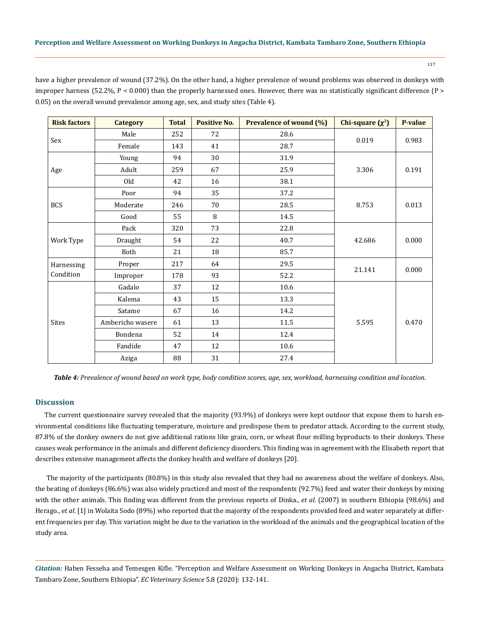137

have a higher prevalence of wound (37.2%). On the other hand, a higher prevalence of wound problems was observed in donkeys with improper harness (52.2%,  $P < 0.000$ ) than the properly harnessed ones. However, there was no statistically significant difference ( $P >$ 0.05) on the overall wound prevalence among age, sex, and study sites (Table 4).

| <b>Risk factors</b>     | <b>Category</b>  | <b>Total</b> | <b>Positive No.</b> | <b>Prevalence of wound (%)</b> | Chi-square $(\chi^2)$ | P-value |
|-------------------------|------------------|--------------|---------------------|--------------------------------|-----------------------|---------|
| Sex                     | Male             | 252          | 72                  | 28.6                           | 0.019                 | 0.983   |
|                         | Female           | 143          | 41                  | 28.7                           |                       |         |
| Age                     | Young            | 94           | 30                  | 31.9                           |                       |         |
|                         | Adult            | 259          | 67                  | 25.9                           | 3.306                 | 0.191   |
|                         | Old              | 42           | 16                  | 38.1                           |                       |         |
|                         | Poor             | 94           | 35                  | 37.2                           |                       |         |
| <b>BCS</b>              | Moderate         | 246          | 70                  | 28.5                           | 8.753                 | 0.013   |
|                         | Good             | 55           | 8                   | 14.5                           |                       |         |
| Work Type               | Pack             | 320          | 73                  | 22.8                           |                       | 0.000   |
|                         | Draught          | 54           | 22                  | 40.7                           | 42.686                |         |
|                         | Both             | 21           | 18                  | 85.7                           |                       |         |
| Harnessing<br>Condition | Proper           | 217          | 64                  | 29.5                           | 21.141                | 0.000   |
|                         | Improper         | 178          | 93                  | 52.2                           |                       |         |
| <b>Sites</b>            | Gadalo           | 37           | 12                  | 10.6                           |                       |         |
|                         | Kalema           | 43           | 15                  | 13.3                           |                       |         |
|                         | Satame           | 67           | 16                  | 14.2                           |                       |         |
|                         | Ambericho wasere | 61           | 13                  | 11.5                           | 5.595                 | 0.470   |
|                         | Bondena          | 52           | 14                  | 12.4                           |                       |         |
|                         | Fandide          | 47           | 12                  | 10.6                           |                       |         |
|                         | Aziga            | 88           | 31                  | 27.4                           |                       |         |

*Table 4: Prevalence of wound based on work type, body condition scores, age, sex, workload, harnessing condition and location.*

# **Discussion**

The current questionnaire survey revealed that the majority (93.9%) of donkeys were kept outdoor that expose them to harsh environmental conditions like fluctuating temperature, moisture and predispose them to predator attack. According to the current study, 87.8% of the donkey owners do not give additional rations like grain, corn, or wheat flour milling byproducts to their donkeys. These causes weak performance in the animals and different deficiency disorders. This finding was in agreement with the Elisabeth report that describes extensive management affects the donkey health and welfare of donkeys [20].

 The majority of the participants (80.8%) in this study also revealed that they had no awareness about the welfare of donkeys. Also, the beating of donkeys (86.6%) was also widely practiced and most of the respondents (92.7%) feed and water their donkeys by mixing with the other animals. This finding was different from the previous reports of Dinka., *et al*. (2007) in southern Ethiopia (98.6%) and Herago., *et al*. [1] in Wolaita Sodo (89%) who reported that the majority of the respondents provided feed and water separately at different frequencies per day. This variation might be due to the variation in the workload of the animals and the geographical location of the study area.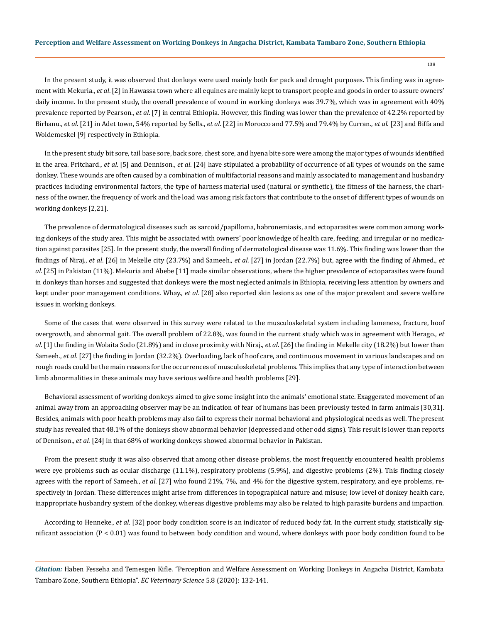138

In the present study, it was observed that donkeys were used mainly both for pack and drought purposes. This finding was in agreement with Mekuria., *et al*. [2] in Hawassa town where all equines are mainly kept to transport people and goods in order to assure owners' daily income. In the present study, the overall prevalence of wound in working donkeys was 39.7%, which was in agreement with 40% prevalence reported by Pearson., *et al*. [7] in central Ethiopia. However, this finding was lower than the prevalence of 42.2% reported by Birhanu., *et al*. [21] in Adet town, 54% reported by Sells., *et al*. [22] in Morocco and 77.5% and 79.4% by Curran., *et al*. [23] and Biffa and Woldemeskel [9] respectively in Ethiopia.

In the present study bit sore, tail base sore, back sore, chest sore, and hyena bite sore were among the major types of wounds identified in the area. Pritchard., *et al*. [5] and Dennison., *et al*. [24] have stipulated a probability of occurrence of all types of wounds on the same donkey. These wounds are often caused by a combination of multifactorial reasons and mainly associated to management and husbandry practices including environmental factors, the type of harness material used (natural or synthetic), the fitness of the harness, the chariness of the owner, the frequency of work and the load was among risk factors that contribute to the onset of different types of wounds on working donkeys [2,21].

The prevalence of dermatological diseases such as sarcoid/papilloma, habronemiasis, and ectoparasites were common among working donkeys of the study area. This might be associated with owners' poor knowledge of health care, feeding, and irregular or no medication against parasites [25]. In the present study, the overall finding of dermatological disease was 11.6%. This finding was lower than the findings of Niraj., *et al*. [26] in Mekelle city (23.7%) and Sameeh., *et al*. [27] in Jordan (22.7%) but, agree with the finding of Ahmed., *et al*. [25] in Pakistan (11%). Mekuria and Abebe [11] made similar observations, where the higher prevalence of ectoparasites were found in donkeys than horses and suggested that donkeys were the most neglected animals in Ethiopia, receiving less attention by owners and kept under poor management conditions. Whay., *et al*. [28] also reported skin lesions as one of the major prevalent and severe welfare issues in working donkeys.

Some of the cases that were observed in this survey were related to the musculoskeletal system including lameness, fracture, hoof overgrowth, and abnormal gait. The overall problem of 22.8%, was found in the current study which was in agreement with Herago., *et al*. [1] the finding in Wolaita Sodo (21.8%) and in close proximity with Niraj., *et al*. [26] the finding in Mekelle city (18.2%) but lower than Sameeh., *et al*. [27] the finding in Jordan (32.2%). Overloading, lack of hoof care, and continuous movement in various landscapes and on rough roads could be the main reasons for the occurrences of musculoskeletal problems. This implies that any type of interaction between limb abnormalities in these animals may have serious welfare and health problems [29].

Behavioral assessment of working donkeys aimed to give some insight into the animals' emotional state. Exaggerated movement of an animal away from an approaching observer may be an indication of fear of humans has been previously tested in farm animals [30,31]. Besides, animals with poor health problems may also fail to express their normal behavioral and physiological needs as well. The present study has revealed that 48.1% of the donkeys show abnormal behavior (depressed and other odd signs). This result is lower than reports of Dennison., *et al*. [24] in that 68% of working donkeys showed abnormal behavior in Pakistan.

From the present study it was also observed that among other disease problems, the most frequently encountered health problems were eye problems such as ocular discharge (11.1%), respiratory problems (5.9%), and digestive problems (2%). This finding closely agrees with the report of Sameeh., *et al*. [27] who found 21%, 7%, and 4% for the digestive system, respiratory, and eye problems, respectively in Jordan. These differences might arise from differences in topographical nature and misuse; low level of donkey health care, inappropriate husbandry system of the donkey, whereas digestive problems may also be related to high parasite burdens and impaction.

According to Henneke., *et al*. [32] poor body condition score is an indicator of reduced body fat. In the current study, statistically significant association (P < 0.01) was found to between body condition and wound, where donkeys with poor body condition found to be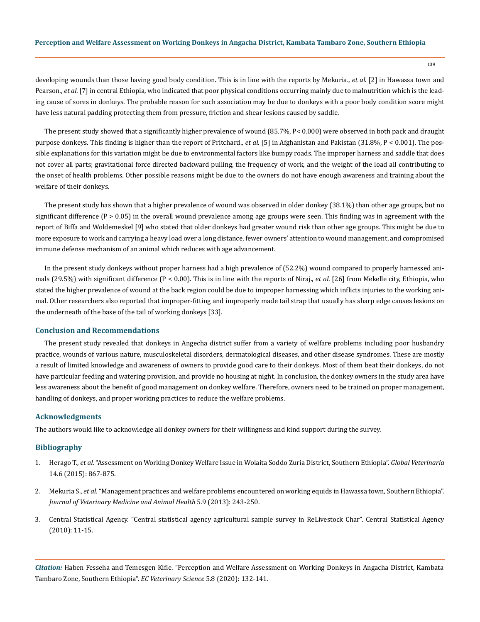developing wounds than those having good body condition. This is in line with the reports by Mekuria., *et al*. [2] in Hawassa town and Pearson., *et al*. [7] in central Ethiopia, who indicated that poor physical conditions occurring mainly due to malnutrition which is the leading cause of sores in donkeys. The probable reason for such association may be due to donkeys with a poor body condition score might have less natural padding protecting them from pressure, friction and shear lesions caused by saddle.

The present study showed that a significantly higher prevalence of wound (85.7%, P< 0.000) were observed in both pack and draught purpose donkeys. This finding is higher than the report of Pritchard., *et al*. [5] in Afghanistan and Pakistan (31.8%, P < 0.001). The possible explanations for this variation might be due to environmental factors like bumpy roads. The improper harness and saddle that does not cover all parts; gravitational force directed backward pulling, the frequency of work, and the weight of the load all contributing to the onset of health problems. Other possible reasons might be due to the owners do not have enough awareness and training about the welfare of their donkeys.

The present study has shown that a higher prevalence of wound was observed in older donkey (38.1%) than other age groups, but no significant difference ( $P > 0.05$ ) in the overall wound prevalence among age groups were seen. This finding was in agreement with the report of Biffa and Woldemeskel [9] who stated that older donkeys had greater wound risk than other age groups. This might be due to more exposure to work and carrying a heavy load over a long distance, fewer owners' attention to wound management, and compromised immune defense mechanism of an animal which reduces with age advancement.

In the present study donkeys without proper harness had a high prevalence of (52.2%) wound compared to properly harnessed animals (29.5%) with significant difference (P < 0.00). This is in line with the reports of Niraj., *et al*. [26] from Mekelle city, Ethiopia, who stated the higher prevalence of wound at the back region could be due to improper harnessing which inflicts injuries to the working animal. Other researchers also reported that improper-fitting and improperly made tail strap that usually has sharp edge causes lesions on the underneath of the base of the tail of working donkeys [33].

## **Conclusion and Recommendations**

The present study revealed that donkeys in Angecha district suffer from a variety of welfare problems including poor husbandry practice, wounds of various nature, musculoskeletal disorders, dermatological diseases, and other disease syndromes. These are mostly a result of limited knowledge and awareness of owners to provide good care to their donkeys. Most of them beat their donkeys, do not have particular feeding and watering provision, and provide no housing at night. In conclusion, the donkey owners in the study area have less awareness about the benefit of good management on donkey welfare. Therefore, owners need to be trained on proper management, handling of donkeys, and proper working practices to reduce the welfare problems.

## **Acknowledgments**

The authors would like to acknowledge all donkey owners for their willingness and kind support during the survey.

## **Bibliography**

- 1. Herago T., *et al*[. "Assessment on Working Donkey Welfare Issue in Wolaita Soddo Zuria District, Southern Ethiopia".](https://www.researchgate.net/publication/281464396_Assessment_on_Working_Donkey_Welfare_Issue_in_Wolaita_Soddo_Zuria_District_Southern_Ethiopia) *Global Veterinaria* [14.6 \(2015\): 867-875.](https://www.researchgate.net/publication/281464396_Assessment_on_Working_Donkey_Welfare_Issue_in_Wolaita_Soddo_Zuria_District_Southern_Ethiopia)
- 2. Mekuria S., *et al*[. "Management practices and welfare problems encountered on working equids in Hawassa town, Southern Ethiopia".](https://www.researchgate.net/publication/259532553_Management_practices_and_welfare_problems_encountered_on_working_equids_in_Hawassa_town_Southern_Ethiopia)  *[Journal of Veterinary Medicine and Animal Health](https://www.researchgate.net/publication/259532553_Management_practices_and_welfare_problems_encountered_on_working_equids_in_Hawassa_town_Southern_Ethiopia)* 5.9 (2013): 243-250.
- 3. Central Statistical Agency. "Central statistical agency agricultural sample survey in ReLivestock Char". Central Statistical Agency (2010): 11-15.

*Citation:* Haben Fesseha and Temesgen Kifle. "Perception and Welfare Assessment on Working Donkeys in Angacha District, Kambata Tambaro Zone, Southern Ethiopia". *EC Veterinary Science* 5.8 (2020): 132-141.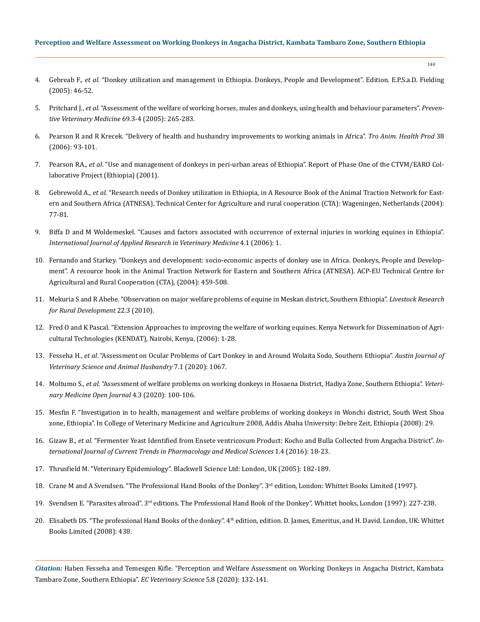- 4. Gebreab F., *et al*[. "Donkey utilization and management in Ethiopia. Donkeys, People and Development". Edition. E.P.S.a.D. Fielding](https://pdfs.semanticscholar.org/2767/cb9a72324272ef5efbffe57502b751e7587f.pdf)  [\(2005\): 46-52.](https://pdfs.semanticscholar.org/2767/cb9a72324272ef5efbffe57502b751e7587f.pdf)
- 5. Pritchard J., *et al*[. "Assessment of the welfare of working horses, mules and donkeys, using health and behaviour parameters".](https://pubmed.ncbi.nlm.nih.gov/15907574/) *Preven[tive Veterinary Medicine](https://pubmed.ncbi.nlm.nih.gov/15907574/)* 69.3-4 (2005): 265-283.
- 6. [Pearson R and R Krecek. "Delivery of health and husbandry improvements to working animals in Africa".](https://link.springer.com/article/10.1007/s11250-006-4363-y) *Tro Anim. Health Prod* 38 [\(2006\): 93-101.](https://link.springer.com/article/10.1007/s11250-006-4363-y)
- 7. Pearson RA., *et al*. "Use and management of donkeys in peri-urban areas of Ethiopia". Report of Phase One of the CTVM/EARO Collaborative Project (Ethiopia) (2001).
- 8. Gebrewold A., *et al*[. "Research needs of Donkey utilization in Ethiopia, in A Resource Book of the Animal Traction Network for East](https://www.atnesa.org/donkeys/donkeys-alemu-research-ET.pdf)[ern and Southern Africa \(ATNESA\), Technical Center for Agriculture and rural cooperation \(CTA\): Wageningen, Netherlands \(2004\):](https://www.atnesa.org/donkeys/donkeys-alemu-research-ET.pdf)  [77-81.](https://www.atnesa.org/donkeys/donkeys-alemu-research-ET.pdf)
- 9. [Biffa D and M Woldemeskel. "Causes and factors associated with occurrence of external injuries in working equines in Ethiopia".](https://www.jarvm.com/articles/Vol4Iss1/Vol4Iss1BiffaV4N1pp1-7.pdf)  *[International Journal of Applied Research in Veterinary Medicine](https://www.jarvm.com/articles/Vol4Iss1/Vol4Iss1BiffaV4N1pp1-7.pdf)* 4.1 (2006): 1.
- 10. [Fernando and Starkey. "Donkeys and development: socio-economic aspects of donkey use in Africa. Donkeys, People and Develop](https://www.animaltraction.com/StarkeyPapers/donkeys-fernando-socioeconomic.pdf)[ment". A resource book in the Animal Traction Network for Eastern and Southern Africa \(ATNESA\). ACP-EU Technical Centre for](https://www.animaltraction.com/StarkeyPapers/donkeys-fernando-socioeconomic.pdf)  [Agricultural and Rural Cooperation \(CTA\), \(2004\): 459-508.](https://www.animaltraction.com/StarkeyPapers/donkeys-fernando-socioeconomic.pdf)
- 11. [Mekuria S and R Abebe. "Observation on major welfare problems of equine in Meskan district, Southern Ethiopia".](https://www.semanticscholar.org/paper/Observation-on-major-welfare-problems-of-equine-in-Mekuria-Abebe/60a179683f575e3b3c19b1d86e18408d02e6cdb7) *Livestock Research [for Rural Development](https://www.semanticscholar.org/paper/Observation-on-major-welfare-problems-of-equine-in-Mekuria-Abebe/60a179683f575e3b3c19b1d86e18408d02e6cdb7)* 22.3 (2010).
- 12. [Fred O and K Pascal. "Extension Approaches to improving the welfare of working equines. Kenya Network for Dissemination of Agri](https://www.cabdirect.org/cabdirect/abstract/20083249341)[cultural Technologies \(KENDAT\), Nairobi, Kenya, \(2006\): 1-28.](https://www.cabdirect.org/cabdirect/abstract/20083249341)
- 13. Fesseha H., *et al*. "Assessment on Ocular Problems of Cart Donkey in and Around Wolaita Sodo, Southern Ethiopia". *Austin Journal of Veterinary Science and Animal Husbandry* 7.1 (2020): 1067.
- 14. Moltumo S., *et al*[. "Assessment of welfare problems on working donkeys in Hosaena District, Hadiya Zone, Southern Ethiopia".](https://openventio.org/assessment-of-welfare-problems-on-working-donkeys-in-hosaena-district-hadiya-zone-southern-ethiopia/) *Veteri[nary Medicine Open Journal](https://openventio.org/assessment-of-welfare-problems-on-working-donkeys-in-hosaena-district-hadiya-zone-southern-ethiopia/)* 4.3 (2020): 100-106.
- 15. Mesfin F. "Investigation in to health, management and welfare problems of working donkeys in Wonchi district, South West Shoa zone, Ethiopia". In College of Veterinary Medicine and Agriculture 2008, Addis Ababa University: Debre Zeit, Ethiopia (2008): 29.
- 16. Gizaw B., *et al*[. "Fermenter Yeast Identified from Ensete ventricosum Product: Kocho and Bulla Collected from Angacha District".](https://www.longdom.org/proceedings/fermenter-yeast-identified-from-ensete-ventricosum-product-kocho-and-bulla-collected-from-angacha-district-ethiopia-47440.html) *In[ternational Journal of Current Trends in Pharmacology and Medical Sciences](https://www.longdom.org/proceedings/fermenter-yeast-identified-from-ensete-ventricosum-product-kocho-and-bulla-collected-from-angacha-district-ethiopia-47440.html)* 1.4 (2016): 18-23.
- 17. Thrusfield M. "Veterinary Epidemiology". Blackwell Science Ltd: London, UK (2005): 182-189.
- 18. Crane M and A Svendsen. "The Professional Hand Books of the Donkey". 3<sup>rd</sup> edition, London: Whittet Books Limited (1997).
- 19. Svendsen E. "Parasites abroad". 3<sup>rd</sup> editions. The Professional Hand Book of the Donkey". Whittet books, London (1997): 227-238.
- 20. Elisabeth DS. "The professional Hand Books of the donkey". 4<sup>th</sup> edition, edition. D. James, Emeritus, and H. David. London, UK: Whittet Books Limited (2008): 438.

*Citation:* Haben Fesseha and Temesgen Kifle. "Perception and Welfare Assessment on Working Donkeys in Angacha District, Kambata Tambaro Zone, Southern Ethiopia". *EC Veterinary Science* 5.8 (2020): 132-141.